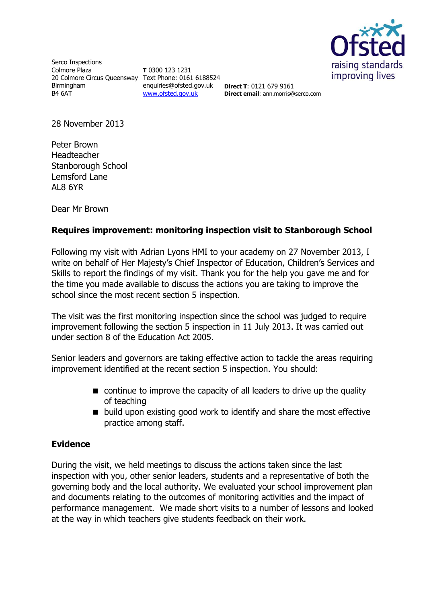

Serco Inspections Colmore Plaza 20 Colmore Circus Queensway Text Phone: 0161 6188524 Birmingham B4 6AT

**T** 0300 123 1231 enquiries@ofsted.gov.uk [www.ofsted.gov.uk](http://www.ofsted.gov.uk/)

**Direct T**: 0121 679 9161 **Direct email**: ann.morris@serco.com

28 November 2013

Peter Brown Headteacher Stanborough School Lemsford Lane AL8 6YR

Dear Mr Brown

## **Requires improvement: monitoring inspection visit to Stanborough School**

Following my visit with Adrian Lyons HMI to your academy on 27 November 2013, I write on behalf of Her Majesty's Chief Inspector of Education, Children's Services and Skills to report the findings of my visit. Thank you for the help you gave me and for the time you made available to discuss the actions you are taking to improve the school since the most recent section 5 inspection.

The visit was the first monitoring inspection since the school was judged to require improvement following the section 5 inspection in 11 July 2013. It was carried out under section 8 of the Education Act 2005.

Senior leaders and governors are taking effective action to tackle the areas requiring improvement identified at the recent section 5 inspection. You should:

- continue to improve the capacity of all leaders to drive up the quality of teaching
- $\blacksquare$  build upon existing good work to identify and share the most effective practice among staff.

## **Evidence**

During the visit, we held meetings to discuss the actions taken since the last inspection with you, other senior leaders, students and a representative of both the governing body and the local authority. We evaluated your school improvement plan and documents relating to the outcomes of monitoring activities and the impact of performance management. We made short visits to a number of lessons and looked at the way in which teachers give students feedback on their work.